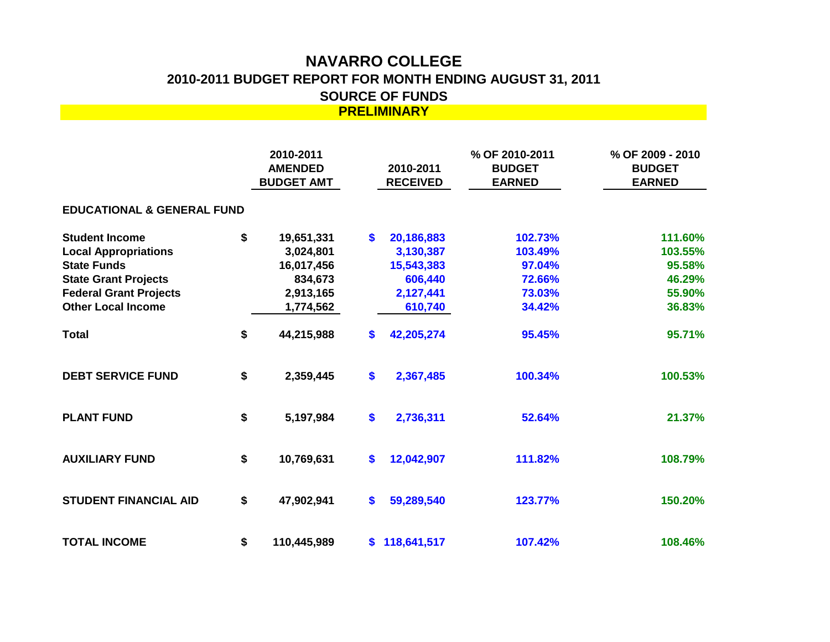## **NAVARRO COLLEGE 2010-2011 BUDGET REPORT FOR MONTH ENDING AUGUST 31, 2011 SOURCE OF FUNDS PRELIMINARY**

|                                                   |    | 2010-2011<br><b>AMENDED</b><br><b>BUDGET AMT</b> |                   | 2010-2011<br><b>RECEIVED</b> | % OF 2010-2011<br><b>BUDGET</b><br><b>EARNED</b> | % OF 2009 - 2010<br><b>BUDGET</b><br><b>EARNED</b> |  |  |  |  |  |  |
|---------------------------------------------------|----|--------------------------------------------------|-------------------|------------------------------|--------------------------------------------------|----------------------------------------------------|--|--|--|--|--|--|
| <b>EDUCATIONAL &amp; GENERAL FUND</b>             |    |                                                  |                   |                              |                                                  |                                                    |  |  |  |  |  |  |
| <b>Student Income</b>                             | \$ | 19,651,331                                       | \$                | 20,186,883                   | 102.73%                                          | 111.60%                                            |  |  |  |  |  |  |
| <b>Local Appropriations</b><br><b>State Funds</b> |    | 3,024,801                                        |                   | 3,130,387                    | 103.49%<br>97.04%                                | 103.55%<br>95.58%                                  |  |  |  |  |  |  |
| <b>State Grant Projects</b>                       |    | 16,017,456<br>834,673                            |                   | 15,543,383<br>606,440        | 72.66%                                           | 46.29%                                             |  |  |  |  |  |  |
| <b>Federal Grant Projects</b>                     |    | 2,913,165                                        |                   | 2,127,441                    | 73.03%                                           | 55.90%                                             |  |  |  |  |  |  |
| <b>Other Local Income</b>                         |    | 1,774,562                                        |                   | 610,740                      | 34.42%                                           | 36.83%                                             |  |  |  |  |  |  |
| <b>Total</b>                                      | \$ | 44,215,988                                       | \$                | 42,205,274                   | 95.45%                                           | 95.71%                                             |  |  |  |  |  |  |
| <b>DEBT SERVICE FUND</b>                          | \$ | 2,359,445                                        | $\boldsymbol{\$}$ | 2,367,485                    | 100.34%                                          | 100.53%                                            |  |  |  |  |  |  |
| <b>PLANT FUND</b>                                 | \$ | 5,197,984                                        | \$                | 2,736,311                    | 52.64%                                           | 21.37%                                             |  |  |  |  |  |  |
| <b>AUXILIARY FUND</b>                             | \$ | 10,769,631                                       | $\mathbf{s}$      | 12,042,907                   | 111.82%                                          | 108.79%                                            |  |  |  |  |  |  |
| <b>STUDENT FINANCIAL AID</b>                      | \$ | 47,902,941                                       | $\mathbf{s}$      | 59,289,540                   | 123.77%                                          | 150.20%                                            |  |  |  |  |  |  |
| <b>TOTAL INCOME</b>                               | \$ | 110,445,989                                      | \$.               | 118,641,517                  | 107.42%                                          | 108.46%                                            |  |  |  |  |  |  |